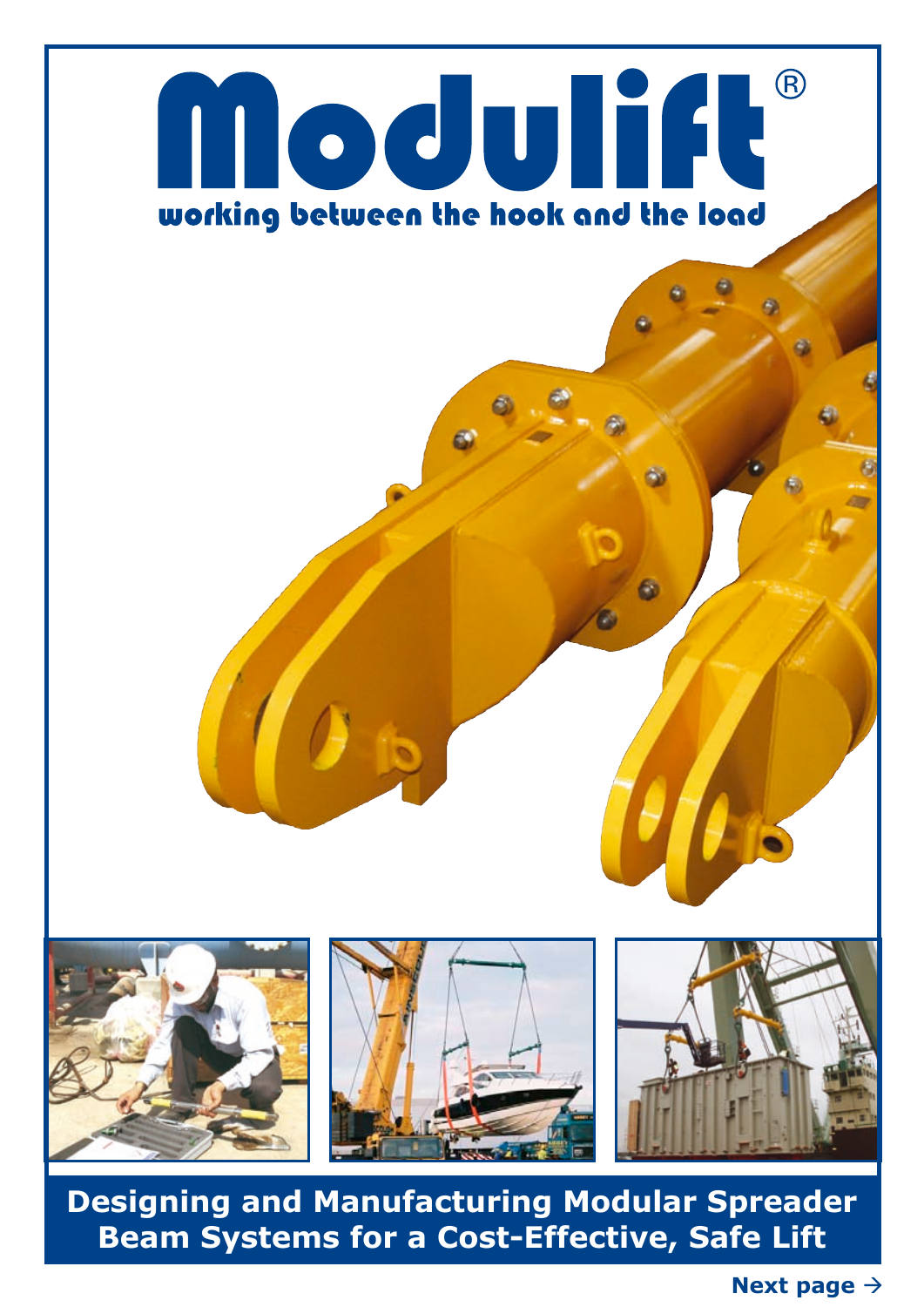

**Designing and Manufacturing Modular Spreader Beam Systems for a Cost-Effective, Safe Lift**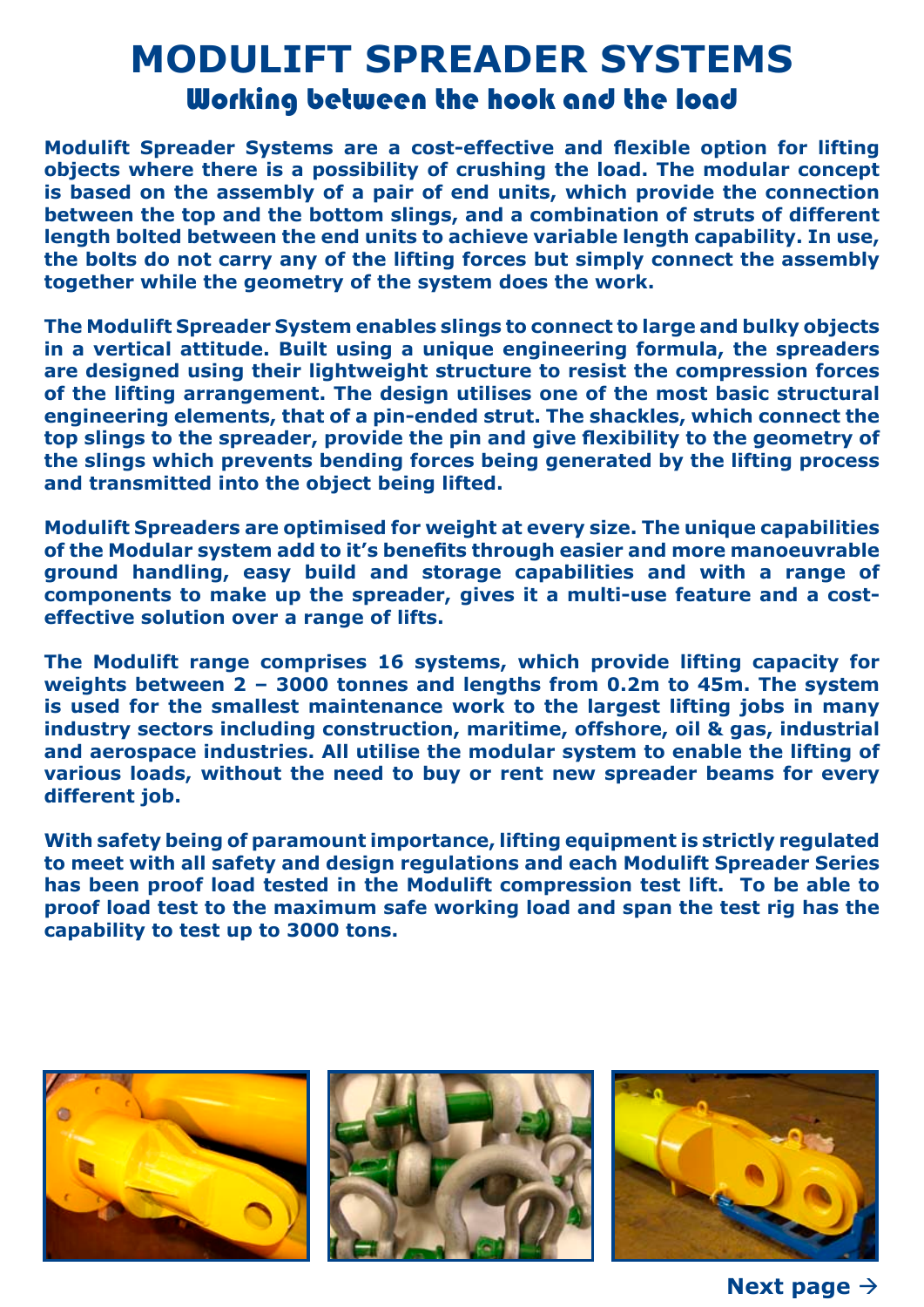### **MODULIFT SPREADER SYSTEMS** Working between the hook and the load

**Modulift Spreader Systems are a cost-effective and flexible option for lifting objects where there is a possibility of crushing the load. The modular concept is based on the assembly of a pair of end units, which provide the connection between the top and the bottom slings, and a combination of struts of different length bolted between the end units to achieve variable length capability. In use, the bolts do not carry any of the lifting forces but simply connect the assembly together while the geometry of the system does the work.**

**The Modulift Spreader System enables slings to connect to large and bulky objects in a vertical attitude. Built using a unique engineering formula, the spreaders are designed using their lightweight structure to resist the compression forces of the lifting arrangement. The design utilises one of the most basic structural engineering elements, that of a pin-ended strut. The shackles, which connect the top slings to the spreader, provide the pin and give flexibility to the geometry of the slings which prevents bending forces being generated by the lifting process and transmitted into the object being lifted.**

**Modulift Spreaders are optimised for weight at every size. The unique capabilities of the Modular system add to it's benefits through easier and more manoeuvrable ground handling, easy build and storage capabilities and with a range of components to make up the spreader, gives it a multi-use feature and a costeffective solution over a range of lifts.** 

**The Modulift range comprises 16 systems, which provide lifting capacity for weights between 2 – 3000 tonnes and lengths from 0.2m to 45m. The system is used for the smallest maintenance work to the largest lifting jobs in many industry sectors including construction, maritime, offshore, oil & gas, industrial and aerospace industries. All utilise the modular system to enable the lifting of various loads, without the need to buy or rent new spreader beams for every different job.**

**With safety being of paramount importance, lifting equipment is strictly regulated to meet with all safety and design regulations and each Modulift Spreader Series has been proof load tested in the Modulift compression test lift. To be able to proof load test to the maximum safe working load and span the test rig has the capability to test up to 3000 tons.** 







**Next page**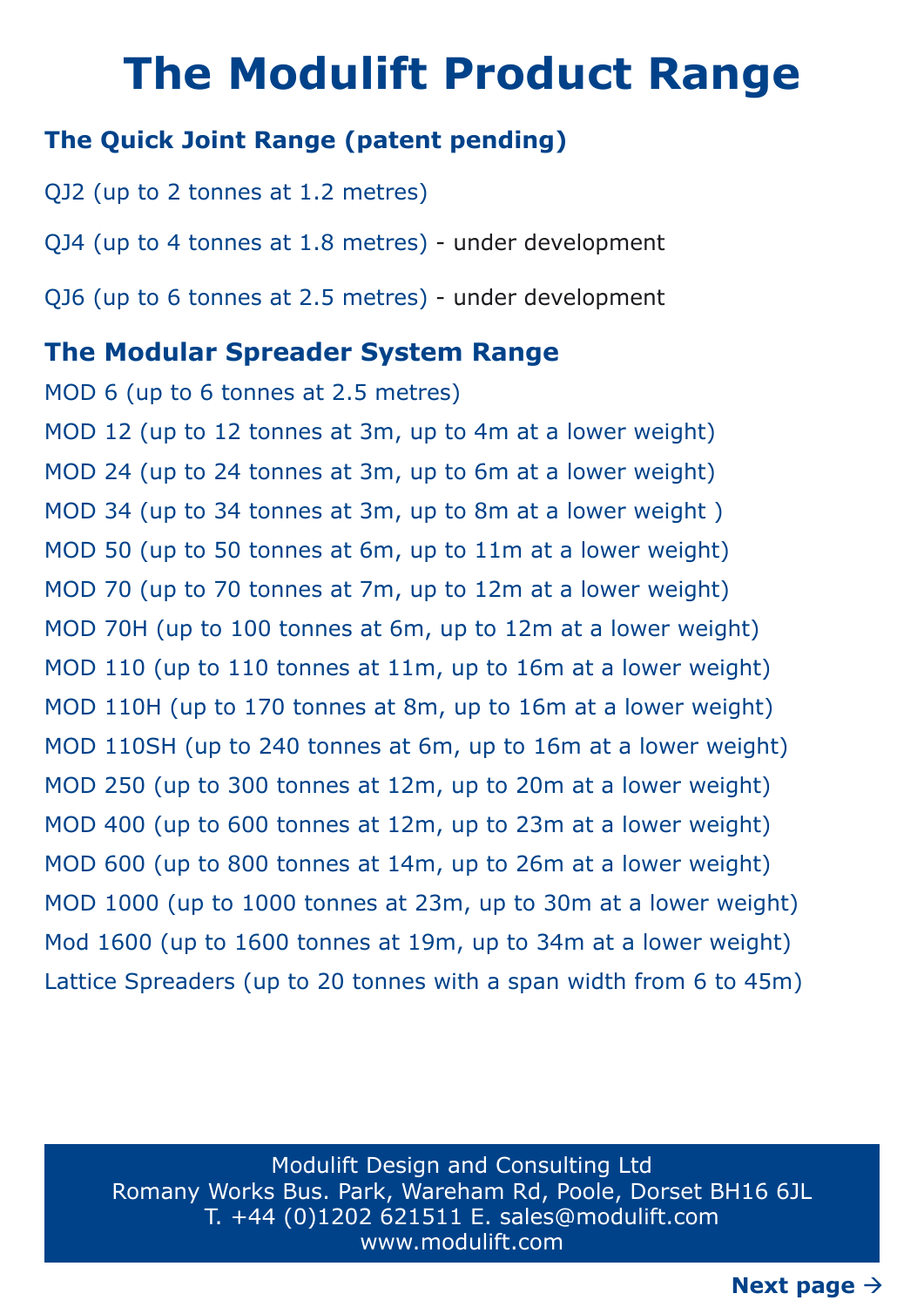### **The Modulift Product Range**

#### **The Quick Joint Range (patent pending)**

QJ2 (up to 2 tonnes at 1.2 metres) QJ4 (up to 4 tonnes at 1.8 metres) - under development QJ6 (up to 6 tonnes at 2.5 metres) - under development

#### **The Modular Spreader System Range**

MOD 6 (up to 6 tonnes at 2.5 metres) MOD 12 (up to 12 tonnes at 3m, up to 4m at a lower weight) MOD 24 (up to 24 tonnes at 3m, up to 6m at a lower weight) MOD 34 (up to 34 tonnes at 3m, up to 8m at a lower weight ) MOD 50 (up to 50 tonnes at 6m, up to 11m at a lower weight) MOD 70 (up to 70 tonnes at 7m, up to 12m at a lower weight) MOD 70H (up to 100 tonnes at 6m, up to 12m at a lower weight) MOD 110 (up to 110 tonnes at 11m, up to 16m at a lower weight) MOD 110H (up to 170 tonnes at 8m, up to 16m at a lower weight) MOD 110SH (up to 240 tonnes at 6m, up to 16m at a lower weight) MOD 250 (up to 300 tonnes at 12m, up to 20m at a lower weight) MOD 400 (up to 600 tonnes at 12m, up to 23m at a lower weight) MOD 600 (up to 800 tonnes at 14m, up to 26m at a lower weight) MOD 1000 (up to 1000 tonnes at 23m, up to 30m at a lower weight) Mod 1600 (up to 1600 tonnes at 19m, up to 34m at a lower weight) Lattice Spreaders (up to 20 tonnes with a span width from 6 to 45m)

Modulift Design and Consulting Ltd Romany Works Bus. Park, Wareham Rd, Poole, Dorset BH16 6JL T. +44 (0)1202 621511 E. sales@modulift.com www.modulift.com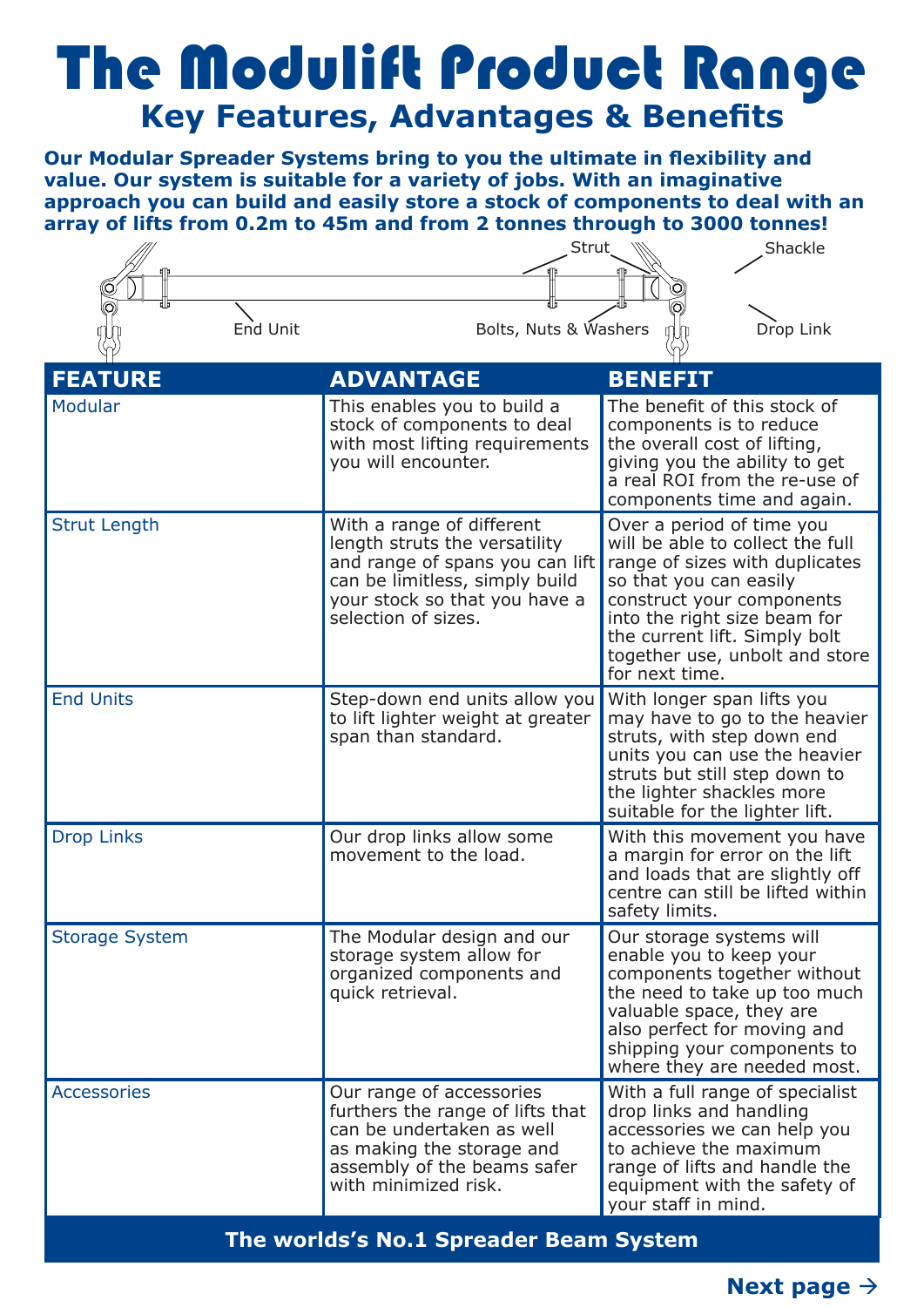### The Modulift Product Range **Key Features, Advantages & Benefits**

**Our Modular Spreader Systems bring to you the ultimate in flexibility and value. Our system is suitable for a variety of jobs. With an imaginative approach you can build and easily store a stock of components to deal with an array of lifts from 0.2m to 45m and from 2 tonnes through to 3000 tonnes!**

|                       | Strut                                                                                                                                                                                   | Shackle                                                                                                                                                                                                                                                                     |
|-----------------------|-----------------------------------------------------------------------------------------------------------------------------------------------------------------------------------------|-----------------------------------------------------------------------------------------------------------------------------------------------------------------------------------------------------------------------------------------------------------------------------|
| End Unit              | Bolts, Nuts & Washers                                                                                                                                                                   | Drop Link                                                                                                                                                                                                                                                                   |
| <b>FEATURE</b>        | <b>ADVANTAGE</b>                                                                                                                                                                        | <b>BENEFIT</b>                                                                                                                                                                                                                                                              |
| Modular               | This enables you to build a<br>stock of components to deal<br>with most lifting requirements<br>you will encounter.                                                                     | The benefit of this stock of<br>components is to reduce<br>the overall cost of lifting,<br>giving you the ability to get<br>a real ROI from the re-use of<br>components time and again.                                                                                     |
| <b>Strut Length</b>   | With a range of different<br>length struts the versatility<br>and range of spans you can lift<br>can be limitless, simply build<br>your stock so that you have a<br>selection of sizes. | Over a period of time you<br>will be able to collect the full<br>range of sizes with duplicates<br>so that you can easily<br>construct your components<br>into the right size beam for<br>the current lift. Simply bolt<br>together use, unbolt and store<br>for next time. |
| <b>End Units</b>      | Step-down end units allow you<br>to lift lighter weight at greater<br>span than standard.                                                                                               | With longer span lifts you<br>may have to go to the heavier<br>struts, with step down end<br>units you can use the heavier<br>struts but still step down to<br>the lighter shackles more<br>suitable for the lighter lift.                                                  |
| <b>Drop Links</b>     | Our drop links allow some<br>movement to the load.                                                                                                                                      | With this movement you have<br>a margin for error on the lift<br>and loads that are slightly off<br>centre can still be lifted within<br>safety limits.                                                                                                                     |
| <b>Storage System</b> | The Modular design and our<br>storage system allow for<br>organized components and<br>quick retrieval.                                                                                  | Our storage systems will<br>enable you to keep your<br>components together without<br>the need to take up too much<br>valuable space, they are<br>also perfect for moving and<br>shipping your components to<br>where they are needed most.                                 |
| <b>Accessories</b>    | Our range of accessories<br>furthers the range of lifts that<br>can be undertaken as well<br>as making the storage and<br>assembly of the beams safer<br>with minimized risk.           | With a full range of specialist<br>drop links and handling<br>accessories we can help you<br>to achieve the maximum<br>range of lifts and handle the<br>equipment with the safety of<br>your staff in mind.                                                                 |

**The worlds's No.1 Spreader Beam System**

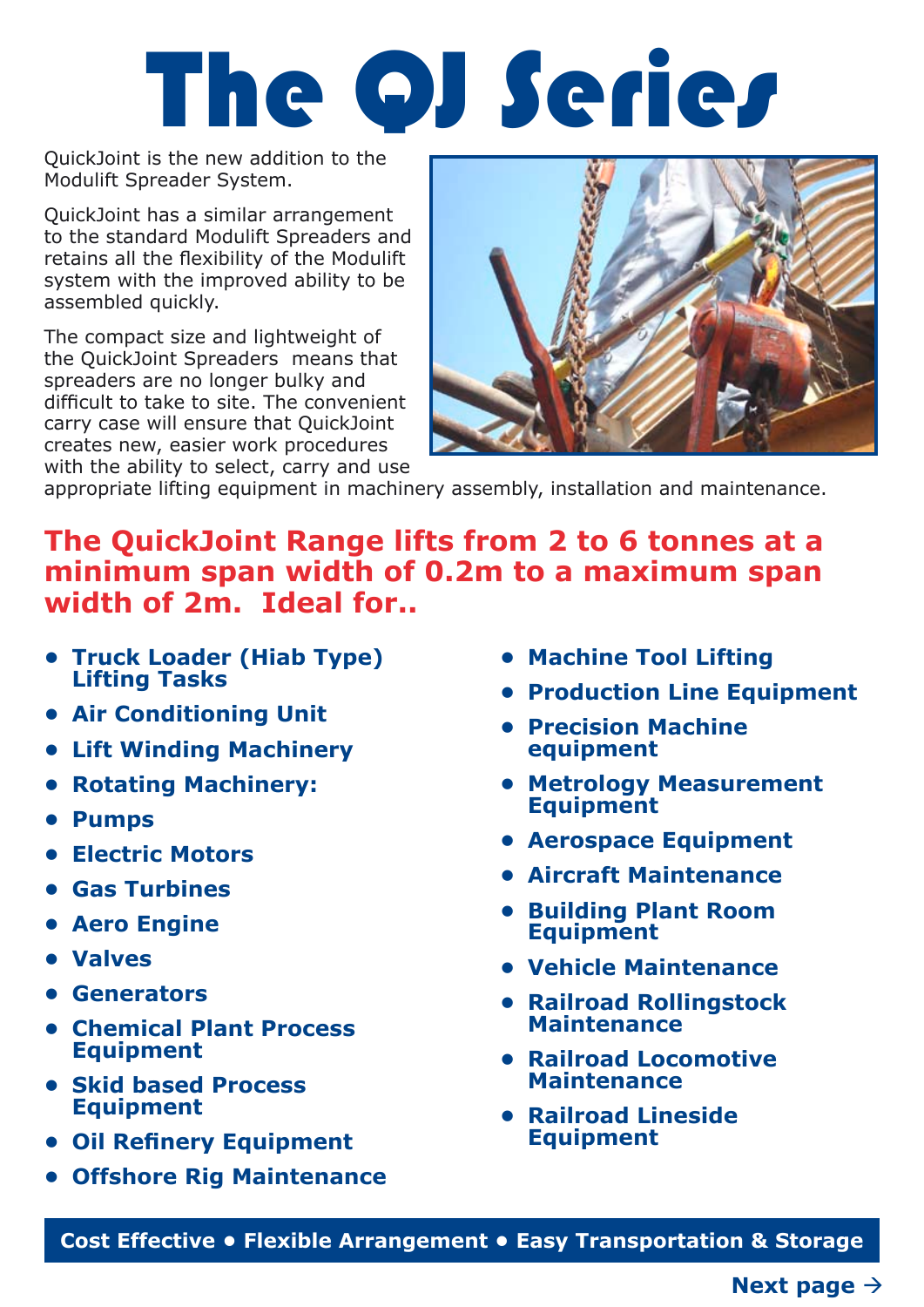## The QJ Series

QuickJoint is the new addition to the Modulift Spreader System.

QuickJoint has a similar arrangement to the standard Modulift Spreaders and retains all the flexibility of the Modulift system with the improved ability to be assembled quickly.

The compact size and lightweight of the QuickJoint Spreaders means that spreaders are no longer bulky and difficult to take to site. The convenient carry case will ensure that QuickJoint creates new, easier work procedures with the ability to select, carry and use



appropriate lifting equipment in machinery assembly, installation and maintenance.

#### **The QuickJoint Range lifts from 2 to 6 tonnes at a minimum span width of 0.2m to a maximum span width of 2m. Ideal for..**

- **• Truck Loader (Hiab Type) Lifting Tasks**
- **• Air Conditioning Unit**
- **• Lift Winding Machinery**
- **• Rotating Machinery:**
- **• Pumps**
- **• Electric Motors**
- **• Gas Turbines**
- **• Aero Engine**
- **• Valves**
- **• Generators**
- **• Chemical Plant Process Equipment**
- **• Skid based Process Equipment**
- **• Oil Refinery Equipment**
- **• Offshore Rig Maintenance**
- **• Machine Tool Lifting**
- **• Production Line Equipment**
- **• Precision Machine equipment**
- **• Metrology Measurement Equipment**
- **• Aerospace Equipment**
- **• Aircraft Maintenance**
- **• Building Plant Room Equipment**
- **• Vehicle Maintenance**
- **• Railroad Rollingstock Maintenance**
- **• Railroad Locomotive Maintenance**
- **• Railroad Lineside Equipment**

**Cost Effective • Flexible Arrangement • Easy Transportation & Storage**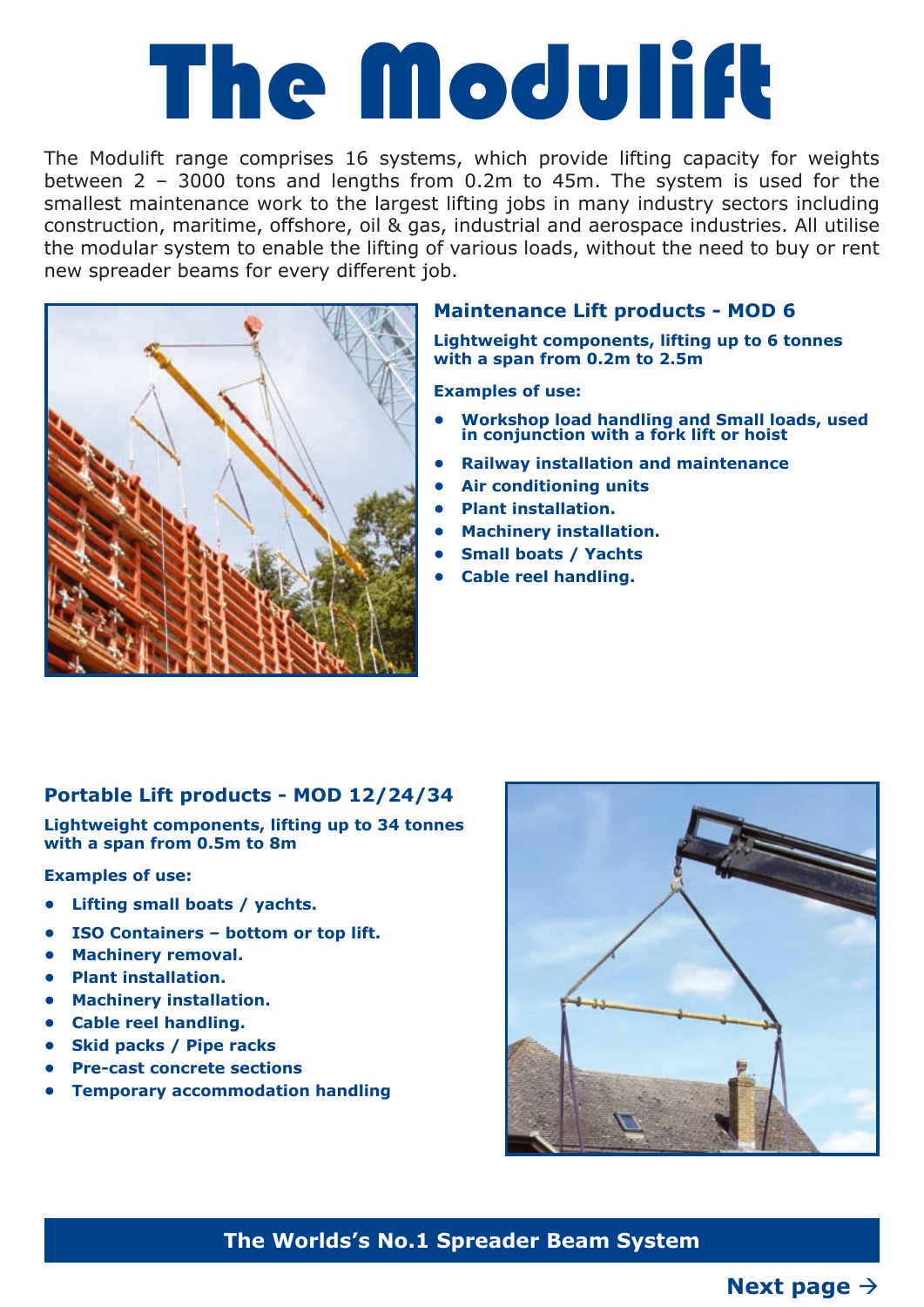## The Modulift

The Modulift range comprises 16 systems, which provide lifting capacity for weights between 2 – 3000 tons and lengths from 0.2m to 45m. The system is used for the smallest maintenance work to the largest lifting jobs in many industry sectors including construction, maritime, offshore, oil & gas, industrial and aerospace industries. All utilise the modular system to enable the lifting of various loads, without the need to buy or rent new spreader beams for every different job.



#### **Maintenance Lift products - MOD 6**

**Lightweight components, lifting up to 6 tonnes with a span from 0.2m to 2.5m**

**Examples of use:**

- **• Workshop load handling and Small loads, used in conjunction with a fork lift or hoist**
- **• Railway installation and maintenance**
- **• Air conditioning units**
- **• Plant installation.**
- **• Machinery installation.**
- **• Small boats / Yachts**
- **• Cable reel handling.**

#### **Portable Lift products - MOD 12/24/34**

**Lightweight components, lifting up to 34 tonnes with a span from 0.5m to 8m**

#### **Examples of use:**

- **• Lifting small boats / yachts.**
- **• ISO Containers bottom or top lift.**
- **• Machinery removal.**
- **• Plant installation.**
- **• Machinery installation.**
- **• Cable reel handling.**
- **• Skid packs / Pipe racks**
- **• Pre-cast concrete sections**
- **• Temporary accommodation handling**



#### **The Worlds's No.1 Spreader Beam System**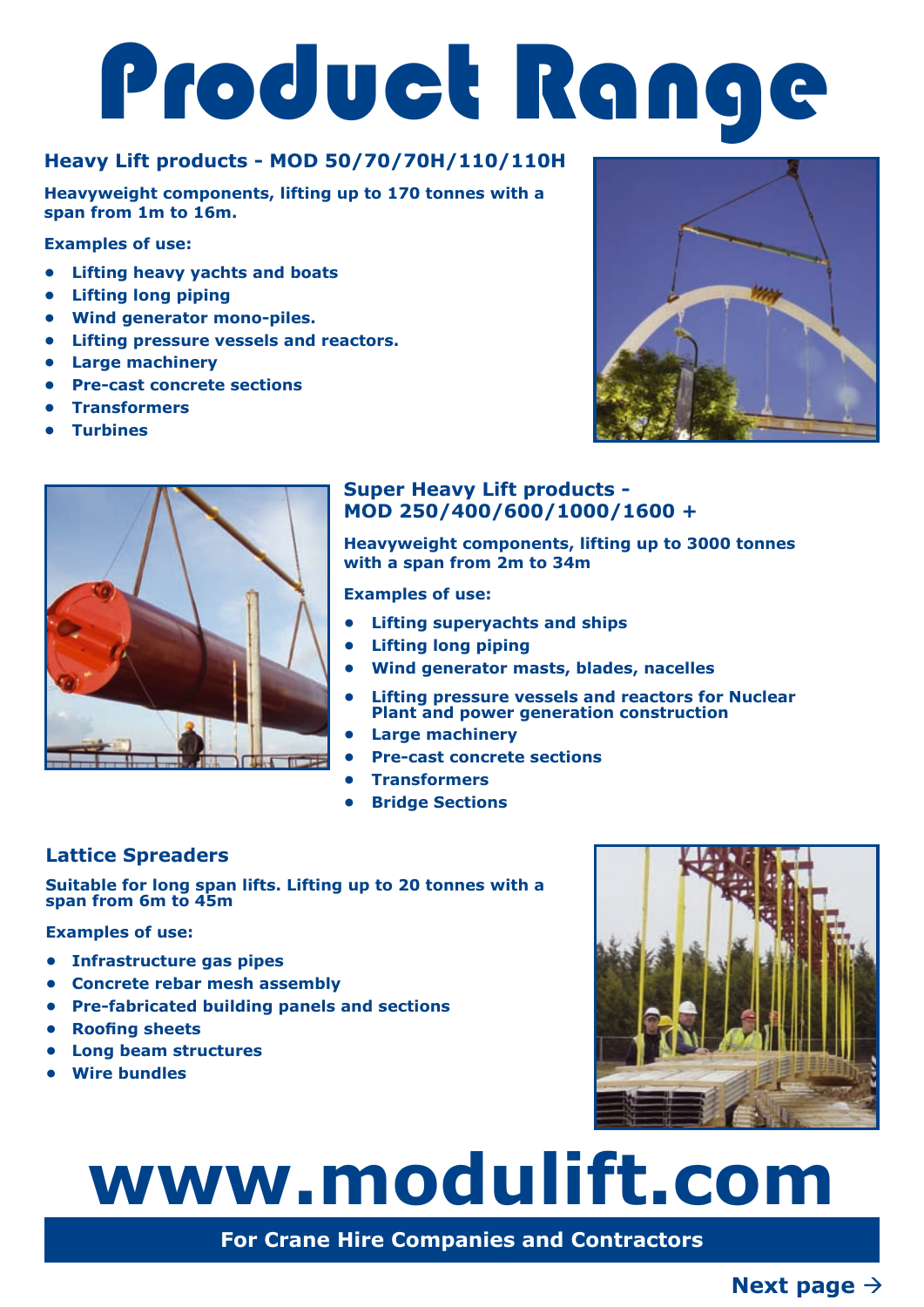# Product Range

#### **Heavy Lift products - MOD 50/70/70H/110/110H**

**Heavyweight components, lifting up to 170 tonnes with a span from 1m to 16m.**

**Examples of use:**

- **• Lifting heavy yachts and boats**
- **• Lifting long piping**
- **• Wind generator mono-piles.**
- **• Lifting pressure vessels and reactors.**
- **• Large machinery**
- **• Pre-cast concrete sections**
- **• Transformers**
- **• Turbines**



#### **Super Heavy Lift products - MOD 250/400/600/1000/1600 +**

**Heavyweight components, lifting up to 3000 tonnes with a span from 2m to 34m**

**Examples of use:**

- **• Lifting superyachts and ships**
- **• Lifting long piping**
- **• Wind generator masts, blades, nacelles**
- **• Lifting pressure vessels and reactors for Nuclear Plant and power generation construction**
- **• Large machinery**
- **• Pre-cast concrete sections**
- **• Transformers**
- **• Bridge Sections**

#### **Lattice Spreaders**

**Suitable for long span lifts. Lifting up to 20 tonnes with a span from 6m to 45m**

**Examples of use:**

- **• Infrastructure gas pipes**
- **• Concrete rebar mesh assembly**
- **• Pre-fabricated building panels and sections**
- **• Roofing sheets**
- **• Long beam structures**
- **• Wire bundles**



## **www.modulift.com**

**For Crane Hire Companies and Contractors**